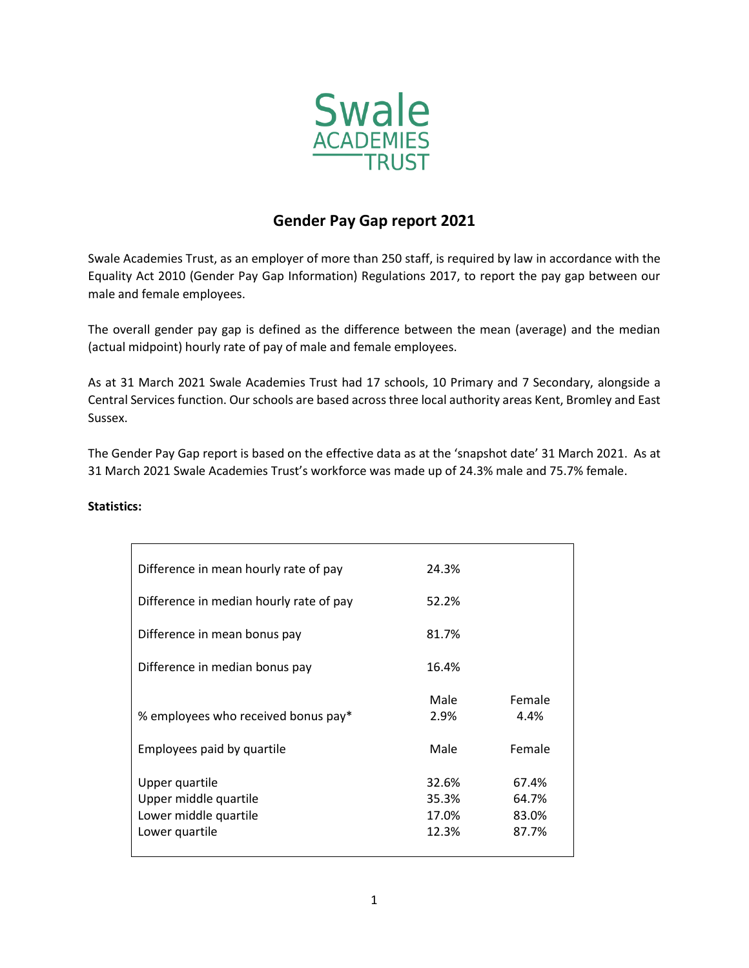

## **Gender Pay Gap report 2021**

Swale Academies Trust, as an employer of more than 250 staff, is required by law in accordance with the Equality Act 2010 (Gender Pay Gap Information) Regulations 2017, to report the pay gap between our male and female employees.

The overall gender pay gap is defined as the difference between the mean (average) and the median (actual midpoint) hourly rate of pay of male and female employees.

As at 31 March 2021 Swale Academies Trust had 17 schools, 10 Primary and 7 Secondary, alongside a Central Services function. Our schools are based across three local authority areas Kent, Bromley and East Sussex.

The Gender Pay Gap report is based on the effective data as at the 'snapshot date' 31 March 2021. As at 31 March 2021 Swale Academies Trust's workforce was made up of 24.3% male and 75.7% female.

| Difference in mean hourly rate of pay                                              | 24.3%                            |                                  |
|------------------------------------------------------------------------------------|----------------------------------|----------------------------------|
| Difference in median hourly rate of pay                                            | 52.2%                            |                                  |
| Difference in mean bonus pay                                                       | 81.7%                            |                                  |
| Difference in median bonus pay                                                     | 16.4%                            |                                  |
| % employees who received bonus pay*                                                | Male<br>2.9%                     | Female<br>4.4%                   |
| Employees paid by quartile                                                         | Male                             | Female                           |
| Upper quartile<br>Upper middle quartile<br>Lower middle quartile<br>Lower quartile | 32.6%<br>35.3%<br>17.0%<br>12.3% | 67.4%<br>64.7%<br>83.0%<br>87.7% |

## **Statistics:**